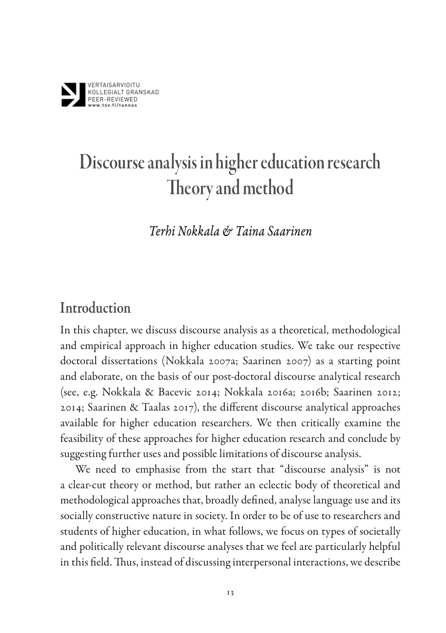

# Discourse analysis in higher education research Theory and method

*Terhi Nokkala & Taina Saarinen*

#### Introduction

In this chapter, we discuss discourse analysis as a theoretical, methodological and empirical approach in higher education studies. We take our respective doctoral dissertations (Nokkala 2007a; Saarinen 2007) as a starting point and elaborate, on the basis of our post-doctoral discourse analytical research (see, e.g. Nokkala & Bacevic 2014; Nokkala 2016a; 2016b; Saarinen 2012; 2014; Saarinen & Taalas 2017), the different discourse analytical approaches available for higher education researchers. We then critically examine the feasibility of these approaches for higher education research and conclude by suggesting further uses and possible limitations of discourse analysis.

We need to emphasise from the start that "discourse analysis" is not a clear-cut theory or method, but rather an eclectic body of theoretical and methodological approaches that, broadly defined, analyse language use and its socially constructive nature in society. In order to be of use to researchers and students of higher education, in what follows, we focus on types of societally and politically relevant discourse analyses that we feel are particularly helpful in this field. Thus, instead of discussing interpersonal interactions, we describe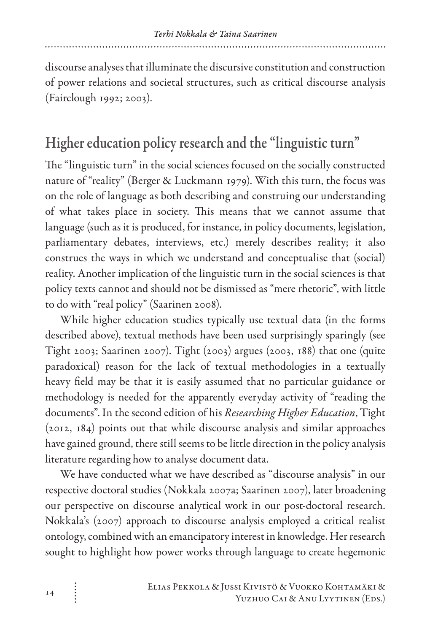discourse analyses that illuminate the discursive constitution and construction of power relations and societal structures, such as critical discourse analysis (Fairclough 1992; 2003).

### Higher education policy research and the "linguistic turn"

The "linguistic turn" in the social sciences focused on the socially constructed nature of "reality" (Berger & Luckmann 1979). With this turn, the focus was on the role of language as both describing and construing our understanding of what takes place in society. This means that we cannot assume that language (such as it is produced, for instance, in policy documents, legislation, parliamentary debates, interviews, etc.) merely describes reality; it also construes the ways in which we understand and conceptualise that (social) reality. Another implication of the linguistic turn in the social sciences is that policy texts cannot and should not be dismissed as "mere rhetoric", with little to do with "real policy" (Saarinen 2008).

While higher education studies typically use textual data (in the forms described above), textual methods have been used surprisingly sparingly (see Tight 2003; Saarinen 2007). Tight (2003) argues (2003, 188) that one (quite paradoxical) reason for the lack of textual methodologies in a textually heavy field may be that it is easily assumed that no particular guidance or methodology is needed for the apparently everyday activity of "reading the documents". In the second edition of his *Researching Higher Education*, Tight (2012, 184) points out that while discourse analysis and similar approaches have gained ground, there still seems to be little direction in the policy analysis literature regarding how to analyse document data.

We have conducted what we have described as "discourse analysis" in our respective doctoral studies (Nokkala 2007a; Saarinen 2007), later broadening our perspective on discourse analytical work in our post-doctoral research. Nokkala's (2007) approach to discourse analysis employed a critical realist ontology, combined with an emancipatory interest in knowledge. Her research sought to highlight how power works through language to create hegemonic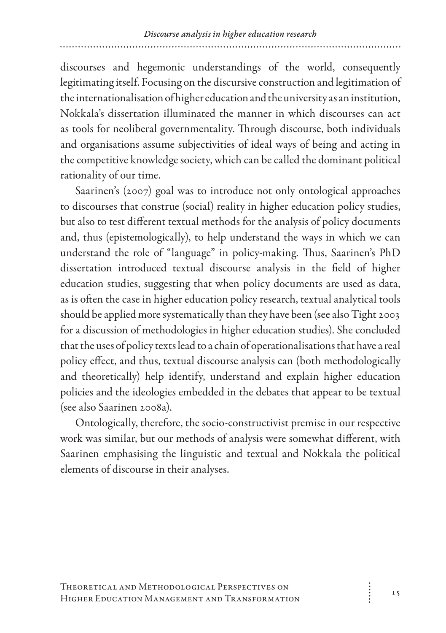discourses and hegemonic understandings of the world, consequently legitimating itself. Focusing on the discursive construction and legitimation of the internationalisation of higher education and the university as an institution, Nokkala's dissertation illuminated the manner in which discourses can act as tools for neoliberal governmentality. Through discourse, both individuals and organisations assume subjectivities of ideal ways of being and acting in the competitive knowledge society, which can be called the dominant political rationality of our time.

Saarinen's (2007) goal was to introduce not only ontological approaches to discourses that construe (social) reality in higher education policy studies, but also to test different textual methods for the analysis of policy documents and, thus (epistemologically), to help understand the ways in which we can understand the role of "language" in policy-making. Thus, Saarinen's PhD dissertation introduced textual discourse analysis in the field of higher education studies, suggesting that when policy documents are used as data, as is often the case in higher education policy research, textual analytical tools should be applied more systematically than they have been (see also Tight 2003 for a discussion of methodologies in higher education studies). She concluded that the uses of policy texts lead to a chain of operationalisations that have a real policy effect, and thus, textual discourse analysis can (both methodologically and theoretically) help identify, understand and explain higher education policies and the ideologies embedded in the debates that appear to be textual (see also Saarinen 2008a).

Ontologically, therefore, the socio-constructivist premise in our respective work was similar, but our methods of analysis were somewhat different, with Saarinen emphasising the linguistic and textual and Nokkala the political elements of discourse in their analyses.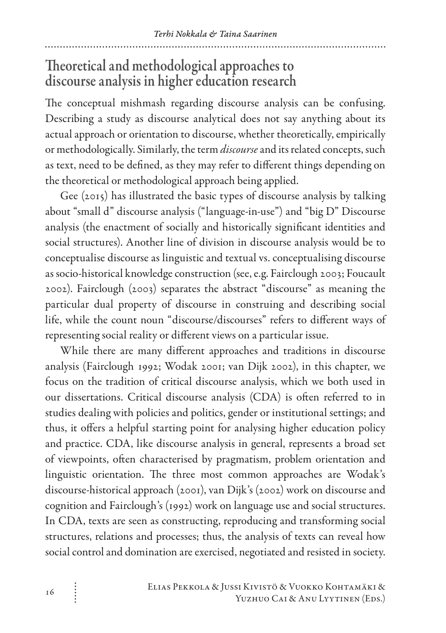#### Theoretical and methodological approaches to discourse analysis in higher education research

The conceptual mishmash regarding discourse analysis can be confusing. Describing a study as discourse analytical does not say anything about its actual approach or orientation to discourse, whether theoretically, empirically or methodologically. Similarly, the term *discourse* and its related concepts, such as text, need to be defined, as they may refer to different things depending on the theoretical or methodological approach being applied.

Gee (2015) has illustrated the basic types of discourse analysis by talking about "small d" discourse analysis ("language-in-use") and "big D" Discourse analysis (the enactment of socially and historically significant identities and social structures). Another line of division in discourse analysis would be to conceptualise discourse as linguistic and textual vs. conceptualising discourse as socio-historical knowledge construction (see, e.g. Fairclough 2003; Foucault 2002). Fairclough (2003) separates the abstract "discourse" as meaning the particular dual property of discourse in construing and describing social life, while the count noun "discourse/discourses" refers to different ways of representing social reality or different views on a particular issue.

While there are many different approaches and traditions in discourse analysis (Fairclough 1992; Wodak 2001; van Dijk 2002), in this chapter, we focus on the tradition of critical discourse analysis, which we both used in our dissertations. Critical discourse analysis (CDA) is often referred to in studies dealing with policies and politics, gender or institutional settings; and thus, it offers a helpful starting point for analysing higher education policy and practice. CDA, like discourse analysis in general, represents a broad set of viewpoints, often characterised by pragmatism, problem orientation and linguistic orientation. The three most common approaches are Wodak's discourse-historical approach (2001), van Dijk's (2002) work on discourse and cognition and Fairclough's (1992) work on language use and social structures. In CDA, texts are seen as constructing, reproducing and transforming social structures, relations and processes; thus, the analysis of texts can reveal how social control and domination are exercised, negotiated and resisted in society.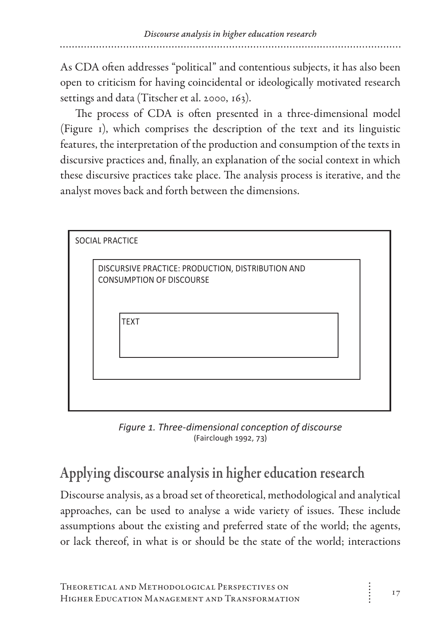As CDA often addresses "political" and contentious subjects, it has also been open to criticism for having coincidental or ideologically motivated research settings and data (Titscher et al. 2000, 163).

The process of CDA is often presented in a three-dimensional model (Figure 1), which comprises the description of the text and its linguistic features, the interpretation of the production and consumption of the texts in discursive practices and, finally, an explanation of the social context in which these discursive practices take place. The analysis process is iterative, and the analyst moves back and forth between the dimensions.

| <b>SOCIAL PRACTICE</b>                                                               |  |
|--------------------------------------------------------------------------------------|--|
| DISCURSIVE PRACTICE: PRODUCTION, DISTRIBUTION AND<br><b>CONSUMPTION OF DISCOURSE</b> |  |
| <b>TEXT</b>                                                                          |  |
|                                                                                      |  |
|                                                                                      |  |

*Figure 1. Three-dimensional conception of discourse* (Fairclough 1992, 73)

## Applying discourse analysis in higher education research

Discourse analysis, as a broad set of theoretical, methodological and analytical approaches, can be used to analyse a wide variety of issues. These include assumptions about the existing and preferred state of the world; the agents, or lack thereof, in what is or should be the state of the world; interactions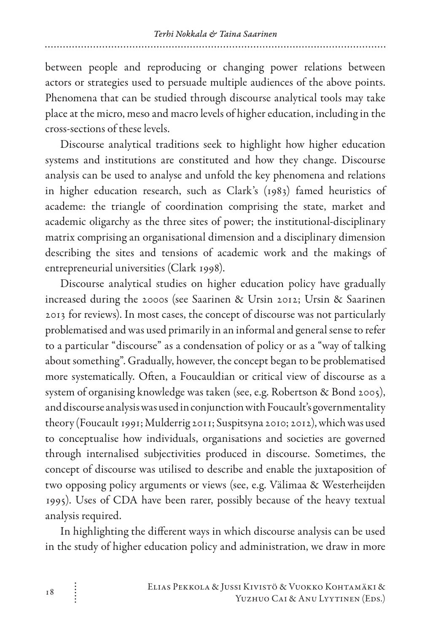between people and reproducing or changing power relations between actors or strategies used to persuade multiple audiences of the above points. Phenomena that can be studied through discourse analytical tools may take place at the micro, meso and macro levels of higher education, including in the cross-sections of these levels.

Discourse analytical traditions seek to highlight how higher education systems and institutions are constituted and how they change. Discourse analysis can be used to analyse and unfold the key phenomena and relations in higher education research, such as Clark's (1983) famed heuristics of academe: the triangle of coordination comprising the state, market and academic oligarchy as the three sites of power; the institutional-disciplinary matrix comprising an organisational dimension and a disciplinary dimension describing the sites and tensions of academic work and the makings of entrepreneurial universities (Clark 1998).

Discourse analytical studies on higher education policy have gradually increased during the 2000s (see Saarinen & Ursin 2012; Ursin & Saarinen 2013 for reviews). In most cases, the concept of discourse was not particularly problematised and was used primarily in an informal and general sense to refer to a particular "discourse" as a condensation of policy or as a "way of talking about something". Gradually, however, the concept began to be problematised more systematically. Often, a Foucauldian or critical view of discourse as a system of organising knowledge was taken (see, e.g. Robertson & Bond 2005), and discourse analysis was used in conjunction with Foucault's governmentality theory (Foucault 1991; Mulderrig 2011; Suspitsyna 2010; 2012), which was used to conceptualise how individuals, organisations and societies are governed through internalised subjectivities produced in discourse. Sometimes, the concept of discourse was utilised to describe and enable the juxtaposition of two opposing policy arguments or views (see, e.g. Välimaa & Westerheijden 1995). Uses of CDA have been rarer, possibly because of the heavy textual analysis required.

In highlighting the different ways in which discourse analysis can be used in the study of higher education policy and administration, we draw in more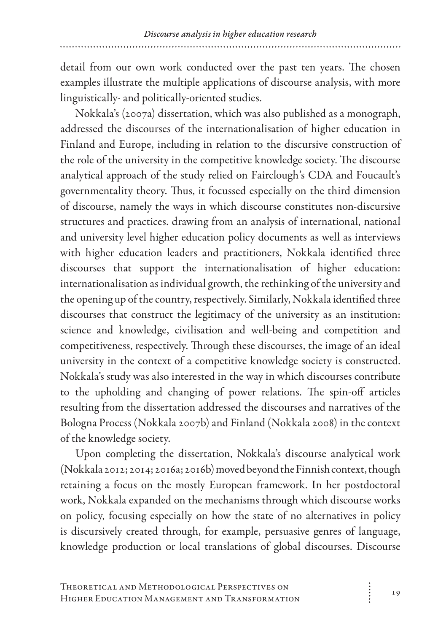detail from our own work conducted over the past ten years. The chosen examples illustrate the multiple applications of discourse analysis, with more linguistically- and politically-oriented studies.

Nokkala's (2007a) dissertation, which was also published as a monograph, addressed the discourses of the internationalisation of higher education in Finland and Europe, including in relation to the discursive construction of the role of the university in the competitive knowledge society. The discourse analytical approach of the study relied on Fairclough's CDA and Foucault's governmentality theory. Thus, it focussed especially on the third dimension of discourse, namely the ways in which discourse constitutes non-discursive structures and practices. drawing from an analysis of international, national and university level higher education policy documents as well as interviews with higher education leaders and practitioners, Nokkala identified three discourses that support the internationalisation of higher education: internationalisation as individual growth, the rethinking of the university and the opening up of the country, respectively. Similarly, Nokkala identified three discourses that construct the legitimacy of the university as an institution: science and knowledge, civilisation and well-being and competition and competitiveness, respectively. Through these discourses, the image of an ideal university in the context of a competitive knowledge society is constructed. Nokkala's study was also interested in the way in which discourses contribute to the upholding and changing of power relations. The spin-off articles resulting from the dissertation addressed the discourses and narratives of the Bologna Process (Nokkala 2007b) and Finland (Nokkala 2008) in the context of the knowledge society.

Upon completing the dissertation, Nokkala's discourse analytical work (Nokkala 2012; 2014; 2016a; 2016b) moved beyond the Finnish context, though retaining a focus on the mostly European framework. In her postdoctoral work, Nokkala expanded on the mechanisms through which discourse works on policy, focusing especially on how the state of no alternatives in policy is discursively created through, for example, persuasive genres of language, knowledge production or local translations of global discourses. Discourse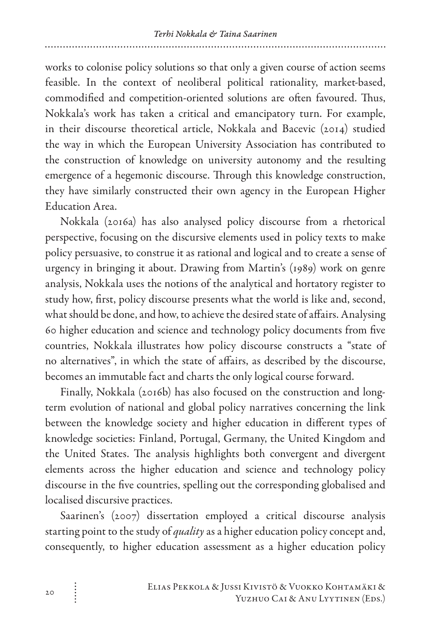works to colonise policy solutions so that only a given course of action seems feasible. In the context of neoliberal political rationality, market-based, commodified and competition-oriented solutions are often favoured. Thus, Nokkala's work has taken a critical and emancipatory turn. For example, in their discourse theoretical article, Nokkala and Bacevic (2014) studied the way in which the European University Association has contributed to the construction of knowledge on university autonomy and the resulting emergence of a hegemonic discourse. Through this knowledge construction, they have similarly constructed their own agency in the European Higher Education Area.

Nokkala (2016a) has also analysed policy discourse from a rhetorical perspective, focusing on the discursive elements used in policy texts to make policy persuasive, to construe it as rational and logical and to create a sense of urgency in bringing it about. Drawing from Martin's (1989) work on genre analysis, Nokkala uses the notions of the analytical and hortatory register to study how, first, policy discourse presents what the world is like and, second, what should be done, and how, to achieve the desired state of affairs. Analysing 60 higher education and science and technology policy documents from five countries, Nokkala illustrates how policy discourse constructs a "state of no alternatives", in which the state of affairs, as described by the discourse, becomes an immutable fact and charts the only logical course forward.

Finally, Nokkala (2016b) has also focused on the construction and longterm evolution of national and global policy narratives concerning the link between the knowledge society and higher education in different types of knowledge societies: Finland, Portugal, Germany, the United Kingdom and the United States. The analysis highlights both convergent and divergent elements across the higher education and science and technology policy discourse in the five countries, spelling out the corresponding globalised and localised discursive practices.

Saarinen's (2007) dissertation employed a critical discourse analysis starting point to the study of *quality* as a higher education policy concept and, consequently, to higher education assessment as a higher education policy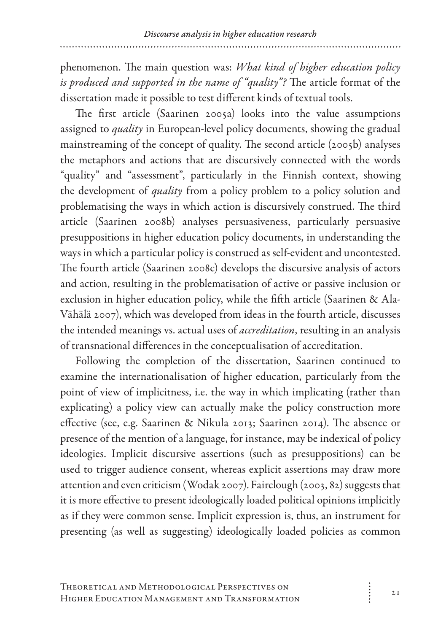phenomenon. The main question was: *What kind of higher education policy is produced and supported in the name of "quality"?* The article format of the dissertation made it possible to test different kinds of textual tools.

The first article (Saarinen 2005a) looks into the value assumptions assigned to *quality* in European-level policy documents, showing the gradual mainstreaming of the concept of quality. The second article (2005b) analyses the metaphors and actions that are discursively connected with the words "quality" and "assessment", particularly in the Finnish context, showing the development of *quality* from a policy problem to a policy solution and problematising the ways in which action is discursively construed. The third article (Saarinen 2008b) analyses persuasiveness, particularly persuasive presuppositions in higher education policy documents, in understanding the ways in which a particular policy is construed as self-evident and uncontested. The fourth article (Saarinen 2008c) develops the discursive analysis of actors and action, resulting in the problematisation of active or passive inclusion or exclusion in higher education policy, while the fifth article (Saarinen & Ala-Vähälä 2007), which was developed from ideas in the fourth article, discusses the intended meanings vs. actual uses of *accreditation*, resulting in an analysis of transnational differences in the conceptualisation of accreditation.

Following the completion of the dissertation, Saarinen continued to examine the internationalisation of higher education, particularly from the point of view of implicitness, i.e. the way in which implicating (rather than explicating) a policy view can actually make the policy construction more effective (see, e.g. Saarinen & Nikula 2013; Saarinen 2014). The absence or presence of the mention of a language, for instance, may be indexical of policy ideologies. Implicit discursive assertions (such as presuppositions) can be used to trigger audience consent, whereas explicit assertions may draw more attention and even criticism (Wodak 2007). Fairclough (2003, 82) suggests that it is more effective to present ideologically loaded political opinions implicitly as if they were common sense. Implicit expression is, thus, an instrument for presenting (as well as suggesting) ideologically loaded policies as common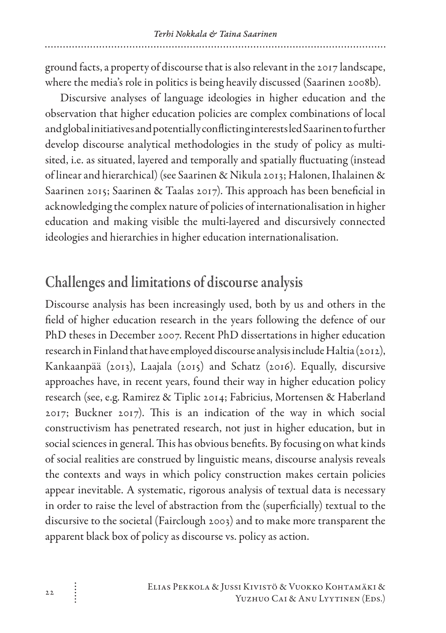ground facts, a property of discourse that is also relevant in the 2017 landscape, where the media's role in politics is being heavily discussed (Saarinen 2008b).

Discursive analyses of language ideologies in higher education and the observation that higher education policies are complex combinations of local and global initiatives and potentially conflicting interests led Saarinen to further develop discourse analytical methodologies in the study of policy as multisited, i.e. as situated, layered and temporally and spatially fluctuating (instead of linear and hierarchical) (see Saarinen & Nikula 2013; Halonen, Ihalainen & Saarinen 2015; Saarinen & Taalas 2017). This approach has been beneficial in acknowledging the complex nature of policies of internationalisation in higher education and making visible the multi-layered and discursively connected ideologies and hierarchies in higher education internationalisation.

#### Challenges and limitations of discourse analysis

Discourse analysis has been increasingly used, both by us and others in the field of higher education research in the years following the defence of our PhD theses in December 2007. Recent PhD dissertations in higher education research in Finland that have employed discourse analysis include Haltia (2012), Kankaanpää (2013), Laajala (2015) and Schatz (2016). Equally, discursive approaches have, in recent years, found their way in higher education policy research (see, e.g. Ramirez & Tiplic 2014; Fabricius, Mortensen & Haberland 2017; Buckner 2017). This is an indication of the way in which social constructivism has penetrated research, not just in higher education, but in social sciences in general. This has obvious benefits. By focusing on what kinds of social realities are construed by linguistic means, discourse analysis reveals the contexts and ways in which policy construction makes certain policies appear inevitable. A systematic, rigorous analysis of textual data is necessary in order to raise the level of abstraction from the (superficially) textual to the discursive to the societal (Fairclough 2003) and to make more transparent the apparent black box of policy as discourse vs. policy as action.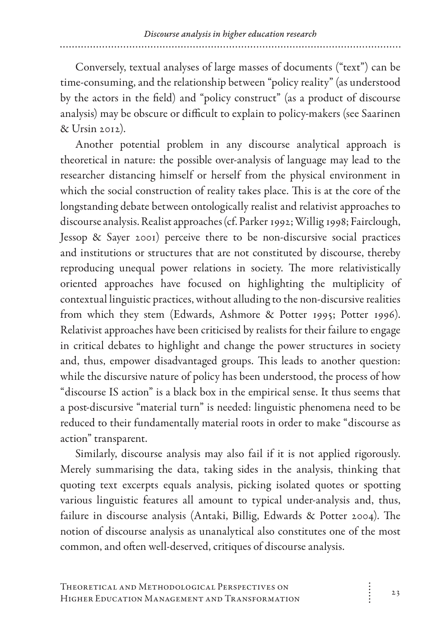Conversely, textual analyses of large masses of documents ("text") can be time-consuming, and the relationship between "policy reality" (as understood by the actors in the field) and "policy construct" (as a product of discourse analysis) may be obscure or difficult to explain to policy-makers (see Saarinen & Ursin 2012).

Another potential problem in any discourse analytical approach is theoretical in nature: the possible over-analysis of language may lead to the researcher distancing himself or herself from the physical environment in which the social construction of reality takes place. This is at the core of the longstanding debate between ontologically realist and relativist approaches to discourse analysis. Realist approaches (cf. Parker 1992; Willig 1998; Fairclough, Jessop & Sayer 2001) perceive there to be non-discursive social practices and institutions or structures that are not constituted by discourse, thereby reproducing unequal power relations in society. The more relativistically oriented approaches have focused on highlighting the multiplicity of contextual linguistic practices, without alluding to the non-discursive realities from which they stem (Edwards, Ashmore & Potter 1995; Potter 1996). Relativist approaches have been criticised by realists for their failure to engage in critical debates to highlight and change the power structures in society and, thus, empower disadvantaged groups. This leads to another question: while the discursive nature of policy has been understood, the process of how "discourse IS action" is a black box in the empirical sense. It thus seems that a post-discursive "material turn" is needed: linguistic phenomena need to be reduced to their fundamentally material roots in order to make "discourse as action" transparent.

Similarly, discourse analysis may also fail if it is not applied rigorously. Merely summarising the data, taking sides in the analysis, thinking that quoting text excerpts equals analysis, picking isolated quotes or spotting various linguistic features all amount to typical under-analysis and, thus, failure in discourse analysis (Antaki, Billig, Edwards & Potter 2004). The notion of discourse analysis as unanalytical also constitutes one of the most common, and often well-deserved, critiques of discourse analysis.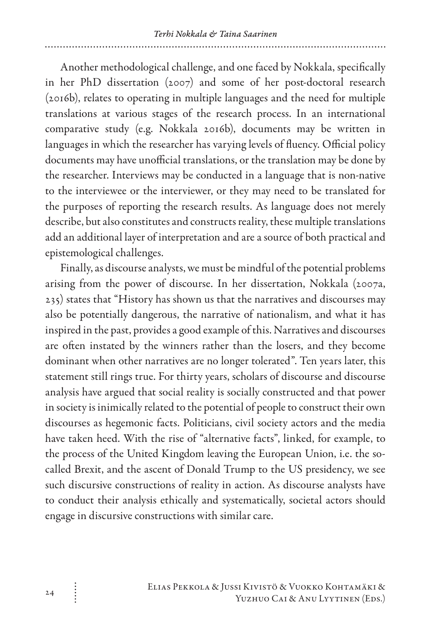Another methodological challenge, and one faced by Nokkala, specifically in her PhD dissertation (2007) and some of her post-doctoral research (2016b), relates to operating in multiple languages and the need for multiple translations at various stages of the research process. In an international comparative study (e.g. Nokkala 2016b), documents may be written in languages in which the researcher has varying levels of fluency. Official policy documents may have unofficial translations, or the translation may be done by the researcher. Interviews may be conducted in a language that is non-native to the interviewee or the interviewer, or they may need to be translated for the purposes of reporting the research results. As language does not merely describe, but also constitutes and constructs reality, these multiple translations add an additional layer of interpretation and are a source of both practical and epistemological challenges.

Finally, as discourse analysts, we must be mindful of the potential problems arising from the power of discourse. In her dissertation, Nokkala (2007a, 235) states that "History has shown us that the narratives and discourses may also be potentially dangerous, the narrative of nationalism, and what it has inspired in the past, provides a good example of this. Narratives and discourses are often instated by the winners rather than the losers, and they become dominant when other narratives are no longer tolerated". Ten years later, this statement still rings true. For thirty years, scholars of discourse and discourse analysis have argued that social reality is socially constructed and that power in society is inimically related to the potential of people to construct their own discourses as hegemonic facts. Politicians, civil society actors and the media have taken heed. With the rise of "alternative facts", linked, for example, to the process of the United Kingdom leaving the European Union, i.e. the socalled Brexit, and the ascent of Donald Trump to the US presidency, we see such discursive constructions of reality in action. As discourse analysts have to conduct their analysis ethically and systematically, societal actors should engage in discursive constructions with similar care.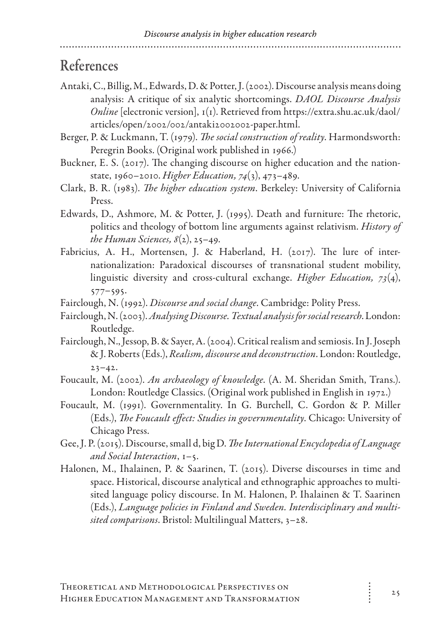#### References

- Antaki, C., Billig, M., Edwards, D. & Potter, J. (2002). Discourse analysis means doing analysis: A critique of six analytic shortcomings. *DAOL Discourse Analysis Online* [electronic version], 1(1). Retrieved from https://extra.shu.ac.uk/daol/ articles/open/2002/002/antaki2002002-paper.html.
- Berger, P. & Luckmann, T. (1979). *The social construction of reality*. Harmondsworth: Peregrin Books. (Original work published in 1966.)
- Buckner, E. S. (2017). The changing discourse on higher education and the nationstate, 1960–2010. *Higher Education, 74*(3), 473–489.
- Clark, B. R. (1983). *The higher education system*. Berkeley: University of California Press.
- Edwards, D., Ashmore, M. & Potter, J. (1995). Death and furniture: The rhetoric, politics and theology of bottom line arguments against relativism. *History of the Human Sciences, 8*(2), 25–49.
- Fabricius, A. H., Mortensen, J. & Haberland, H. (2017). The lure of internationalization: Paradoxical discourses of transnational student mobility, linguistic diversity and cross-cultural exchange. *Higher Education, 73*(4), 577–595.
- Fairclough, N. (1992). *Discourse and social change*. Cambridge: Polity Press.
- Fairclough, N. (2003). *Analysing Discourse. Textual analysis for social research*. London: Routledge.
- Fairclough, N., Jessop, B. & Sayer, A. (2004). Critical realism and semiosis. In J. Joseph & J. Roberts (Eds.), *Realism, discourse and deconstruction*. London: Routledge,  $23 - 42.$
- Foucault, M. (2002). *An archaeology of knowledge*. (A. M. Sheridan Smith, Trans.). London: Routledge Classics. (Original work published in English in 1972.)
- Foucault, M. (1991). Governmentality. In G. Burchell, C. Gordon & P. Miller (Eds.), *The Foucault effect: Studies in governmentality*. Chicago: University of Chicago Press.
- Gee, J. P. (2015). Discourse, small d, big D. *The International Encyclopedia of Language and Social Interaction*, 1–5.
- Halonen, M., Ihalainen, P. & Saarinen, T. (2015). Diverse discourses in time and space. Historical, discourse analytical and ethnographic approaches to multisited language policy discourse. In M. Halonen, P. Ihalainen & T. Saarinen (Eds.), *Language policies in Finland and Sweden. Interdisciplinary and multisited comparisons*. Bristol: Multilingual Matters, 3–28.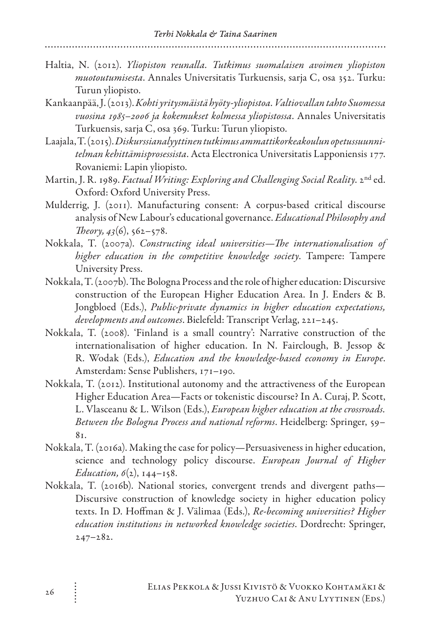- Haltia, N. (2012). *Yliopiston reunalla. Tutkimus suomalaisen avoimen yliopiston muotoutumisesta*. Annales Universitatis Turkuensis, sarja C, osa 352. Turku: Turun yliopisto.
- Kankaanpää, J. (2013). *Kohti yritysmäistä hyöty-yliopistoa. Valtiovallan tahto Suomessa vuosina 1985–2006 ja kokemukset kolmessa yliopistossa*. Annales Universitatis Turkuensis, sarja C, osa 369. Turku: Turun yliopisto.
- Laajala, T. (2015). *Diskurssianalyyttinen tutkimus ammattikorkeakoulun opetussuunnitelman kehittämisprosessista*. Acta Electronica Universitatis Lapponiensis 177. Rovaniemi: Lapin yliopisto.
- Martin, J. R. 1989. *Factual Writing: Exploring and Challenging Social Reality*. 2nd ed. Oxford: Oxford University Press.
- Mulderrig, J. (2011). Manufacturing consent: A corpus-based critical discourse analysis of New Labour's educational governance. *Educational Philosophy and Theory*,  $43(6)$ ,  $562 - 578$ .
- Nokkala, T. (2007a). *Constructing ideal universities—The internationalisation of higher education in the competitive knowledge society*. Tampere: Tampere University Press.
- Nokkala, T. (2007b). The Bologna Process and the role of higher education: Discursive construction of the European Higher Education Area. In J. Enders & B. Jongbloed (Eds.), *Public-private dynamics in higher education expectations, developments and outcomes*. Bielefeld: Transcript Verlag, 221–245.
- Nokkala, T. (2008). 'Finland is a small country': Narrative construction of the internationalisation of higher education. In N. Fairclough, B. Jessop & R. Wodak (Eds.), *Education and the knowledge-based economy in Europe*. Amsterdam: Sense Publishers, 171–190.
- Nokkala, T. (2012). Institutional autonomy and the attractiveness of the European Higher Education Area—Facts or tokenistic discourse? In A. Curaj, P. Scott, L. Vlasceanu & L. Wilson (Eds.), *European higher education at the crossroads. Between the Bologna Process and national reforms*. Heidelberg: Springer, 59–  $8<sub>1</sub>$
- Nokkala, T. (2016a). Making the case for policy—Persuasiveness in higher education, science and technology policy discourse. *European Journal of Higher Education, 6*(2), 144–158.
- Nokkala, T. (2016b). National stories, convergent trends and divergent paths— Discursive construction of knowledge society in higher education policy texts. In D. Hoffman & J. Välimaa (Eds.), *Re-becoming universities? Higher education institutions in networked knowledge societies*. Dordrecht: Springer, 247–282.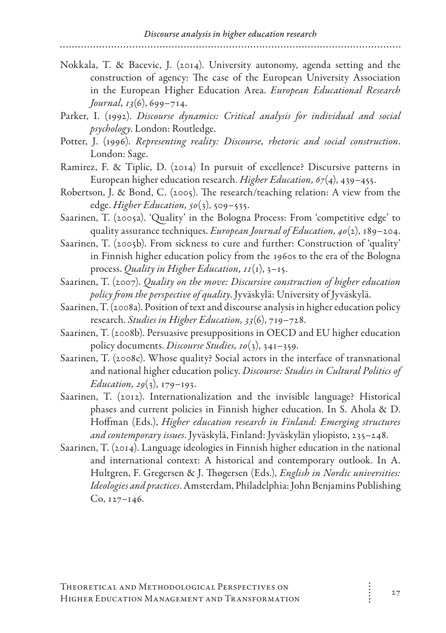Nokkala, T. & Bacevic, J. (2014). University autonomy, agenda setting and the construction of agency: The case of the European University Association in the European Higher Education Area. *European Educational Research Journal, 13*(6), 699–714.

- Parker, I. (1992). *Discourse dynamics: Critical analysis for individual and social psychology*. London: Routledge.
- Potter, J. (1996). *Representing reality: Discourse, rhetoric and social construction*. London: Sage.
- Ramirez, F. & Tiplic, D. (2014) In pursuit of excellence? Discursive patterns in European higher education research. *Higher Education, 67*(4), 439–455.
- Robertson, J. & Bond, C. (2005). The research/teaching relation: A view from the edge. *Higher Education, 50*(3), 509–535.
- Saarinen, T. (2005a). 'Quality' in the Bologna Process: From 'competitive edge' to quality assurance techniques. *European Journal of Education, 40*(2), 189–204.
- Saarinen, T. (2005b). From sickness to cure and further: Construction of 'quality' in Finnish higher education policy from the 1960s to the era of the Bologna process. *Quality in Higher Education, 11*(1), 3–15.
- Saarinen, T. (2007). *Quality on the move: Discursive construction of higher education policy from the perspective of quality*. Jyväskylä: University of Jyväskylä.
- Saarinen, T. (2008a). Position of text and discourse analysis in higher education policy research. *Studies in Higher Education, 33*(6), 719–728.
- Saarinen, T. (2008b). Persuasive presuppositions in OECD and EU higher education policy documents. *Discourse Studies, 10*(3), 341–359.
- Saarinen, T. (2008c). Whose quality? Social actors in the interface of transnational and national higher education policy. *Discourse: Studies in Cultural Politics of Education, 29*(3), 179–193.
- Saarinen, T. (2012). Internationalization and the invisible language? Historical phases and current policies in Finnish higher education. In S. Ahola & D. Hoffman (Eds.), *Higher education research in Finland: Emerging structures and contemporary issues*. Jyväskylä, Finland: Jyväskylän yliopisto, 235–248.
- Saarinen, T. (2014). Language ideologies in Finnish higher education in the national and international context: A historical and contemporary outlook. In A. Hultgren, F. Gregersen & J. Thøgersen (Eds.), *English in Nordic universities: Ideologies and practices*. Amsterdam, Philadelphia: John Benjamins Publishing Co, 127–146.